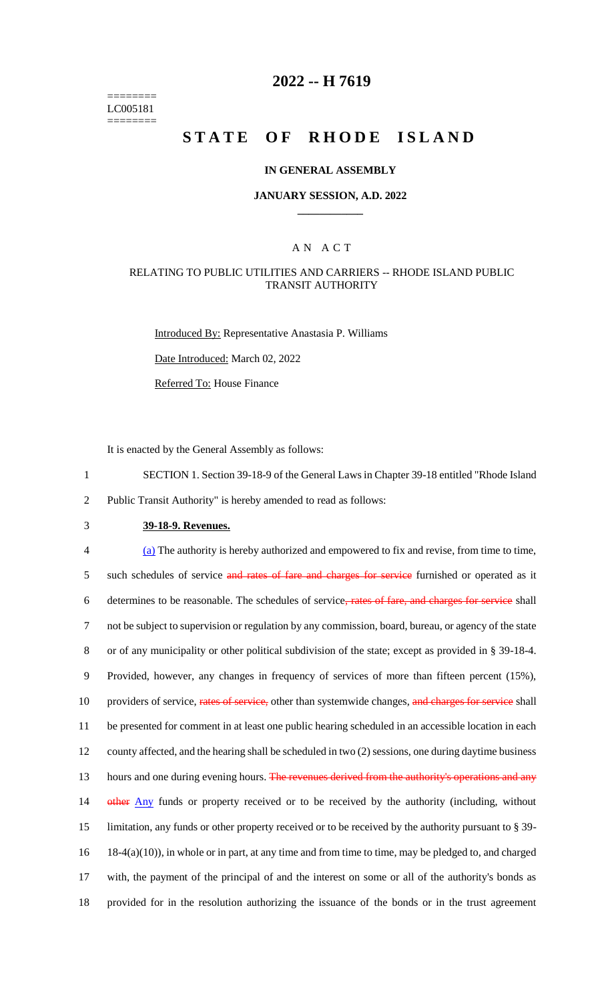======== LC005181 ========

# **2022 -- H 7619**

# **STATE OF RHODE ISLAND**

#### **IN GENERAL ASSEMBLY**

#### **JANUARY SESSION, A.D. 2022 \_\_\_\_\_\_\_\_\_\_\_\_**

### A N A C T

#### RELATING TO PUBLIC UTILITIES AND CARRIERS -- RHODE ISLAND PUBLIC TRANSIT AUTHORITY

Introduced By: Representative Anastasia P. Williams

Date Introduced: March 02, 2022

Referred To: House Finance

It is enacted by the General Assembly as follows:

1 SECTION 1. Section 39-18-9 of the General Laws in Chapter 39-18 entitled "Rhode Island 2 Public Transit Authority" is hereby amended to read as follows:

3 **39-18-9. Revenues.**

 (a) The authority is hereby authorized and empowered to fix and revise, from time to time, 5 such schedules of service and rates of fare and charges for service furnished or operated as it determines to be reasonable. The schedules of service, rates of fare, and charges for service shall not be subject to supervision or regulation by any commission, board, bureau, or agency of the state or of any municipality or other political subdivision of the state; except as provided in § 39-18-4. Provided, however, any changes in frequency of services of more than fifteen percent (15%), 10 providers of service, rates of service, other than systemwide changes, and charges for service shall be presented for comment in at least one public hearing scheduled in an accessible location in each county affected, and the hearing shall be scheduled in two (2) sessions, one during daytime business 13 hours and one during evening hours. The revenues derived from the authority's operations and any 14 other Any funds or property received or to be received by the authority (including, without limitation, any funds or other property received or to be received by the authority pursuant to § 39- 18-4(a)(10)), in whole or in part, at any time and from time to time, may be pledged to, and charged with, the payment of the principal of and the interest on some or all of the authority's bonds as provided for in the resolution authorizing the issuance of the bonds or in the trust agreement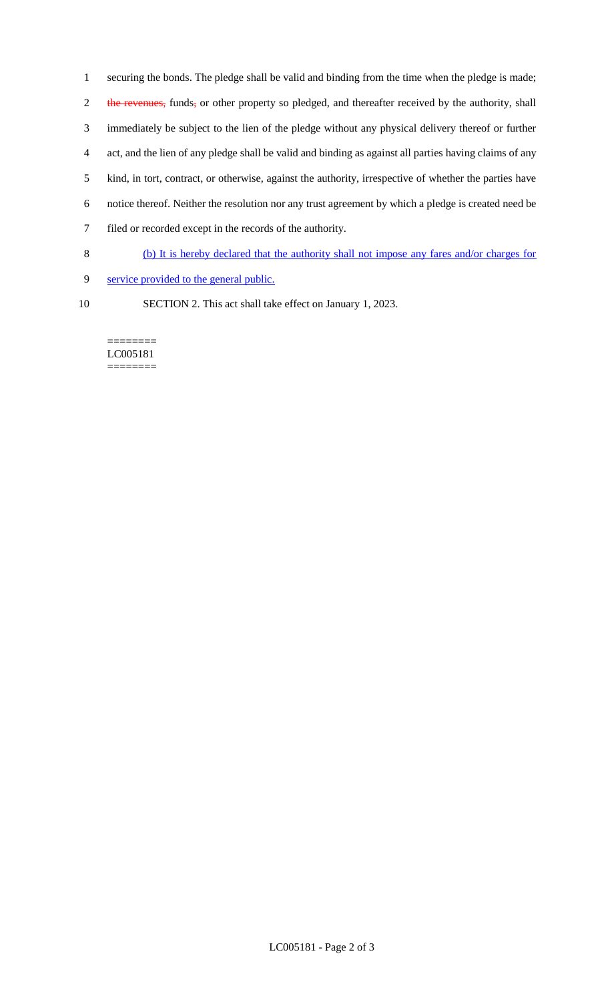securing the bonds. The pledge shall be valid and binding from the time when the pledge is made; 2 the revenues, funds, or other property so pledged, and thereafter received by the authority, shall immediately be subject to the lien of the pledge without any physical delivery thereof or further act, and the lien of any pledge shall be valid and binding as against all parties having claims of any kind, in tort, contract, or otherwise, against the authority, irrespective of whether the parties have notice thereof. Neither the resolution nor any trust agreement by which a pledge is created need be filed or recorded except in the records of the authority.

- 8 (b) It is hereby declared that the authority shall not impose any fares and/or charges for
- 9 service provided to the general public.
- 
- 10 SECTION 2. This act shall take effect on January 1, 2023.

#### ======== LC005181 ========